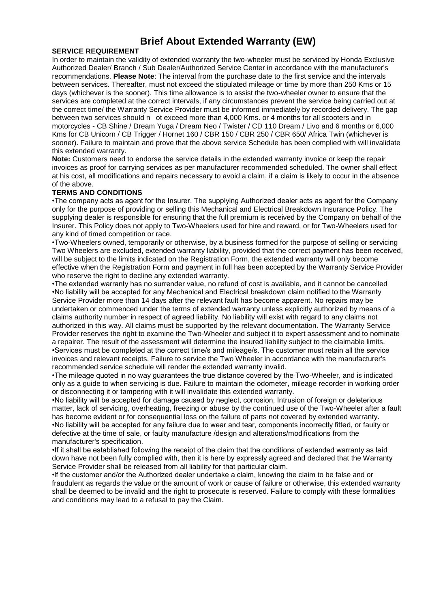# **Brief About Extended Warranty (EW)**

## **SERVICE REQUIREMENT**

In order to maintain the validity of extended warranty the two-wheeler must be serviced by Honda Exclusive Authorized Dealer/ Branch / Sub Dealer/Authorized Service Center in accordance with the manufacturer's recommendations. **Please Note**: The interval from the purchase date to the first service and the intervals between services. Thereafter, must not exceed the stipulated mileage or time by more than 250 Kms or 15 days (whichever is the sooner). This time allowance is to assist the two-wheeler owner to ensure that the services are completed at the correct intervals, if any circumstances prevent the service being carried out at the correct time/ the Warranty Service Provider must be informed immediately by recorded delivery. The gap between two services should n ot exceed more than 4,000 Kms. or 4 months for all scooters and in motorcycles - CB Shine / Dream Yuga / Dream Neo / Twister / CD 110 Dream / Livo and 6 months or 6,000 Kms for CB Unicorn / CB Trigger / Hornet 160 / CBR 150 / CBR 250 / CBR 650/ Africa Twin (whichever is sooner). Failure to maintain and prove that the above service Schedule has been complied with will invalidate this extended warranty.

**Note:** Customers need to endorse the service details in the extended warranty invoice or keep the repair invoices as proof for carrying services as per manufacturer recommended scheduled. The owner shall effect at his cost, all modifications and repairs necessary to avoid a claim, if a claim is likely to occur in the absence of the above.

### **TERMS AND CONDITIONS**

•The company acts as agent for the Insurer. The supplying Authorized dealer acts as agent for the Company only for the purpose of providing or selling this Mechanical and Electrical Breakdown Insurance Policy. The supplying dealer is responsible for ensuring that the full premium is received by the Company on behalf of the Insurer. This Policy does not apply to Two-Wheelers used for hire and reward, or for Two-Wheelers used for any kind of timed competition or race.

•Two-Wheelers owned, temporarily or otherwise, by a business formed for the purpose of selling or servicing Two Wheelers are excluded, extended warranty liability, provided that the correct payment has been received, will be subject to the limits indicated on the Registration Form, the extended warranty will only become effective when the Registration Form and payment in full has been accepted by the Warranty Service Provider who reserve the right to decline any extended warranty.

•The extended warranty has no surrender value, no refund of cost is available, and it cannot be cancelled •No liability will be accepted for any Mechanical and Electrical breakdown claim notified to the Warranty Service Provider more than 14 days after the relevant fault has become apparent. No repairs may be undertaken or commenced under the terms of extended warranty unless explicitly authorized by means of a claims authority number in respect of agreed liability. No liability will exist with regard to any claims not authorized in this way. All claims must be supported by the relevant documentation. The Warranty Service Provider reserves the right to examine the Two-Wheeler and subject it to expert assessment and to nominate a repairer. The result of the assessment will determine the insured liability subject to the claimable limits. •Services must be completed at the correct time/s and mileage/s. The customer must retain all the service invoices and relevant receipts. Failure to service the Two Wheeler in accordance with the manufacturer's recommended service schedule will render the extended warranty invalid.

•The mileage quoted in no way guarantees the true distance covered by the Two-Wheeler, and is indicated only as a guide to when servicing is due. Failure to maintain the odometer, mileage recorder in working order or disconnecting it or tampering with it will invalidate this extended warranty.

•No liability will be accepted for damage caused by neglect, corrosion, Intrusion of foreign or deleterious matter, lack of servicing, overheating, freezing or abuse by the continued use of the Two-Wheeler after a fault has become evident or for consequential loss on the failure of parts not covered by extended warranty. •No liability will be accepted for any failure due to wear and tear, components incorrectly fitted, or faulty or defective at the time of sale, or faulty manufacture /design and alterations/modifications from the manufacturer's specification.

•If it shall be established following the receipt of the claim that the conditions of extended warranty as laid down have not been fully complied with, then it is here by expressly agreed and declared that the Warranty Service Provider shall be released from all liability for that particular claim.

•lf the customer and/or the Authorized dealer undertake a claim, knowing the claim to be false and or fraudulent as regards the value or the amount of work or cause of failure or otherwise, this extended warranty shall be deemed to be invalid and the right to prosecute is reserved. Failure to comply with these formalities and conditions may lead to a refusal to pay the Claim.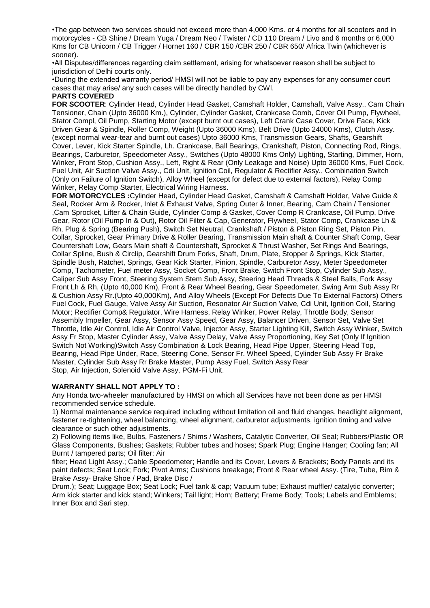•The gap between two services should not exceed more than 4,000 Kms. or 4 months for all scooters and in motorcycles - CB Shine / Dream Yuga / Dream Neo / Twister / CD 110 Dream / Livo and 6 months or 6,000 Kms for CB Unicorn / CB Trigger / Hornet 160 / CBR 150 /CBR 250 / CBR 650/ Africa Twin (whichever is sooner).

•All Disputes/differences regarding claim settlement, arising for whatsoever reason shall be subject to jurisdiction of Delhi courts only.

•During the extended warranty period/ HMSI will not be liable to pay any expenses for any consumer court cases that may arise/ any such cases will be directly handled by CWl.

#### **PARTS COVERED**

**FOR SCOOTER**: Cylinder Head, Cylinder Head Gasket, Camshaft Holder, Camshaft, Valve Assy., Cam Chain Tensioner, Chain (Upto 36000 Km.), Cylinder, Cylinder Gasket, Crankcase Comb, Cover Oil Pump, Flywheel, Stator Compl, Oil Pump, Starting Motor (except burnt out cases), Left Crank Case Cover, Drive Face, Kick Driven Gear & Spindle, Roller Comp, Weight (Upto 36000 Kms), Belt Drive (Upto 24000 Kms), Clutch Assy. (except normal wear-tear and burnt out cases) Upto 36000 Kms, Transmission Gears, Shafts, Gearshift Cover, Lever, Kick Starter Spindle, Lh. Crankcase, Ball Bearings, Crankshaft, Piston, Connecting Rod, Rings, Bearings, Carburetor, Speedometer Assy., Switches (Upto 48000 Kms Only) Lighting, Starting, Dimmer, Horn, Winker, Front Stop, Cushion Assy., Left, Right & Rear (Only Leakage and Noise) Upto 36000 Kms, Fuel Cock, Fuel Unit, Air Suction Valve Assy., Cdi Unit, Ignition Coil, Regulator & Rectifier Assy., Combination Switch (Only on Failure of Ignition Switch), Alloy Wheel (except for defect due to external factors), Relay Comp Winker, Relay Comp Starter, Electrical Wiring Harness.

**FOR MOTORCYCLES :**Cylinder Head, Cylinder Head Gasket, Camshaft & Camshaft Holder, Valve Guide & Seal, Rocker Arm & Rocker, Inlet & Exhaust Valve, Spring Outer & Inner, Bearing, Cam Chain / Tensioner ,Cam Sprocket, Lifter & Chain Guide, Cylinder Comp & Gasket, Cover Comp R Crankcase, Oil Pump, Drive Gear, Rotor (Oil Pump In & Out), Rotor Oil Filter & Cap, Generator, Flywheel, Stator Comp, Crankcase Lh & Rh, Plug & Spring (Bearing Push), Switch Set Neutral, Crankshaft / Piston & Piston Ring Set, Piston Pin, Collar, Sprocket, Gear Primary Drive & Roller Bearing, Transmission Main shaft & Counter Shaft Comp, Gear Countershaft Low, Gears Main shaft & Countershaft, Sprocket & Thrust Washer, Set Rings And Bearings, Collar Spline, Bush & Circlip, Gearshift Drum Forks, Shaft, Drum, Plate, Stopper & Springs, Kick Starter, Spindle Bush, Ratchet, Springs, Gear Kick Starter, Pinion, Spindle, Carburetor Assy, Meter Speedometer Comp, Tachometer, Fuel meter Assy, Socket Comp, Front Brake, Switch Front Stop, Cylinder Sub Assy., Caliper Sub Assy Front, Steering System Stem Sub Assy, Steering Head Threads & Steel Balls, Fork Assy Front Lh & Rh, (Upto 40,000 Km), Front & Rear Wheel Bearing, Gear Speedometer, Swing Arm Sub Assy Rr & Cushion Assy Rr.(Upto 40,000Km), And Alloy Wheels (Except For Defects Due To External Factors) Others Fuel Cock, Fuel Gauge, Valve Assy Air Suction, Resonator Air Suction Valve, Cdi Unit, Ignition Coil, Staring Motor; Rectifier Comp& Regulator, Wire Harness, Relay Winker, Power Relay, Throttle Body, Sensor Assembly Impeller, Gear Assy, Sensor Assy Speed, Gear Assy, Balancer Driven, Sensor Set, Valve Set Throttle, Idle Air Control, Idle Air Control Valve, Injector Assy, Starter Lighting Kill, Switch Assy Winker, Switch Assy Fr Stop, Master Cylinder Assy, Valve Assy Delay, Valve Assy Proportioning, Key Set (Only If Ignition Switch Not Working)Switch Assy Combination & Lock Bearing, Head Pipe Upper, Steering Head Top, Bearing, Head Pipe Under, Race, Steering Cone, Sensor Fr. Wheel Speed, Cylinder Sub Assy Fr Brake Master, Cylinder Sub Assy Rr Brake Master, Pump Assy Fuel, Switch Assy Rear Stop, Air Injection, Solenoid Valve Assy, PGM-Fi Unit.

#### **WARRANTY SHALL NOT APPLY TO :**

Any Honda two-wheeler manufactured by HMSI on which all Services have not been done as per HMSI recommended service schedule.

1) Normal maintenance service required including without limitation oil and fluid changes, headlight alignment, fastener re-tightening, wheel balancing, wheel alignment, carburetor adjustments, ignition timing and valve clearance or such other adjustments.

2) Following items like, Bulbs, Fasteners / Shims / Washers, Catalytic Converter, Oil Seal; Rubbers/Plastic OR Glass Components, Bushes; Gaskets; Rubber tubes and hoses; Spark Plug; Engine Hanger; Cooling fan; All Burnt / tampered parts; Oil filter; Air

filter; Head Light Assy.; Cable Speedometer; Handle and its Cover, Levers & Brackets; Body Panels and its paint defects; Seat Lock; Fork; Pivot Arms; Cushions breakage; Front & Rear wheel Assy. (Tire, Tube, Rim & Brake Assy- Brake Shoe / Pad, Brake Disc /

Drum.); Seat; Luggage Box; Seat Lock; Fuel tank & cap; Vacuum tube; Exhaust muffler/ catalytic converter; Arm kick starter and kick stand; Winkers; Tail light; Horn; Battery; Frame Body; Tools; Labels and Emblems; Inner Box and Sari step.